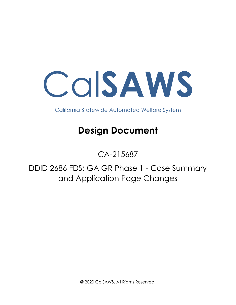Cal**SAWS**

California Statewide Automated Welfare System

# **Design Document**

# CA-215687

DDID 2686 FDS: GA GR Phase 1 - Case Summary and Application Page Changes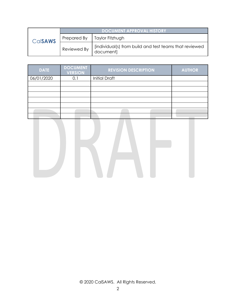| CalsAWS | <b>DOCUMENT APPROVAL HISTORY</b> |                                                                     |  |  |
|---------|----------------------------------|---------------------------------------------------------------------|--|--|
|         | Prepared By                      | Taylor Fitzhugh                                                     |  |  |
|         | Reviewed By                      | [individual(s) from build and test teams that reviewed<br>document] |  |  |

| <b>DATE</b> | <b>DOCUMENT</b><br><b>VERSION</b> | <b>REVISION DESCRIPTION</b> | <b>AUTHOR</b> |
|-------------|-----------------------------------|-----------------------------|---------------|
| 06/01/2020  | 0.1                               | <b>Initial Draft</b>        |               |
|             |                                   |                             |               |
|             |                                   |                             |               |
|             |                                   |                             |               |
|             |                                   |                             |               |
|             |                                   |                             |               |
|             |                                   |                             |               |
|             |                                   |                             |               |

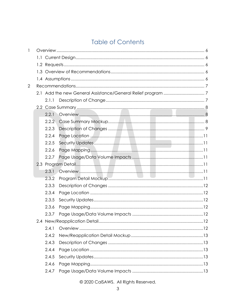## **Table of Contents**

| 2.1.1 |                |  |
|-------|----------------|--|
|       |                |  |
| 2.2.1 |                |  |
| 2.2.2 |                |  |
| 2.2.3 |                |  |
| 2.2.4 |                |  |
| 2.2.5 |                |  |
| 2.2.6 |                |  |
| 2.2.7 |                |  |
|       |                |  |
| 2.3.1 |                |  |
| 2.3.2 |                |  |
| 2.3.3 |                |  |
| 2.3.4 |                |  |
| 2.3.5 |                |  |
| 2.3.6 |                |  |
| 2.3.7 |                |  |
|       |                |  |
| 2.4.1 |                |  |
| 2.4.2 |                |  |
| 2.4.3 |                |  |
| 2.4.4 |                |  |
| 2.4.5 |                |  |
| 2.4.6 |                |  |
| 2.4.7 |                |  |
|       | $1.1 -$<br>1.3 |  |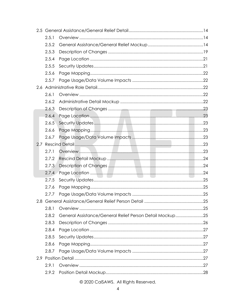|     | 2.5.1 |                                                          |  |
|-----|-------|----------------------------------------------------------|--|
|     | 2.5.2 |                                                          |  |
|     | 2.5.3 |                                                          |  |
|     | 2.5.4 |                                                          |  |
|     | 2.5.5 |                                                          |  |
|     | 2.5.6 |                                                          |  |
|     | 2.5.7 |                                                          |  |
|     |       |                                                          |  |
|     | 2.6.1 |                                                          |  |
|     | 2.6.2 |                                                          |  |
|     | 2.6.3 |                                                          |  |
|     | 2.6.4 |                                                          |  |
|     | 2.6.5 |                                                          |  |
|     | 2.6.6 |                                                          |  |
|     | 2.6.7 |                                                          |  |
| 2.7 |       |                                                          |  |
|     | 2.7.1 |                                                          |  |
|     | 2.7.2 |                                                          |  |
|     | 2.7.3 |                                                          |  |
|     | 2.7.4 |                                                          |  |
|     | 2.7.5 |                                                          |  |
|     | 2.7.6 |                                                          |  |
|     | 2.7.7 |                                                          |  |
|     |       |                                                          |  |
|     | 2.8.1 |                                                          |  |
|     | 2.8.2 | General Assistance/General Relief Person Detail Mockup25 |  |
|     | 2.8.3 |                                                          |  |
|     | 2.8.4 |                                                          |  |
|     | 2.8.5 |                                                          |  |
|     | 2.8.6 |                                                          |  |
|     | 2.8.7 |                                                          |  |
|     |       |                                                          |  |
|     | 2.9.1 |                                                          |  |
|     | 2.9.2 |                                                          |  |
|     |       |                                                          |  |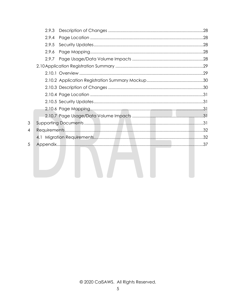|   | 2.9.3 |  |
|---|-------|--|
|   | 2.9.4 |  |
|   | 2.9.5 |  |
|   | 2.9.6 |  |
|   | 2.9.7 |  |
|   |       |  |
|   |       |  |
|   |       |  |
|   |       |  |
|   |       |  |
|   |       |  |
|   |       |  |
|   |       |  |
| 3 |       |  |
| 4 |       |  |
|   |       |  |
| 5 |       |  |
|   |       |  |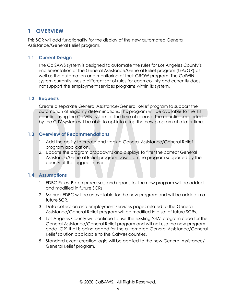### <span id="page-5-0"></span>**1 OVERVIEW**

This SCR will add functionality for the display of the new automated General Assistance/General Relief program.

#### <span id="page-5-1"></span>**1.1 Current Design**

The CalSAWS system is designed to automate the rules for Los Angeles County's implementation of the General Assistance/General Relief program (GA/GR) as well as the automation and monitoring of their GROW program. The CalWIN system currently uses a different set of rules for each county and currently does not support the employment services programs within its system.

#### <span id="page-5-2"></span>**1.2 Requests**

Create a separate General Assistance/General Relief program to support the automation of eligibility determinations. This program will be available to the 18 counties using the CalWIN system at the time of release. The counties supported by the C-IV system will be able to opt into using the new program at a later time.

#### <span id="page-5-3"></span>**1.3 Overview of Recommendations**

- 1. Add the ability to create and track a General Assistance/General Relief program application.
- 2. Update the program dropdowns and displays to filter the correct General Assistance/General Relief program based on the program supported by the county of the logged in user.

#### <span id="page-5-4"></span>**1.4 Assumptions**

- 1. EDBC Rules, Batch processes, and reports for the new program will be added and modified in future SCRs.
- 2. Manual EDBC will be unavailable for the new program and will be added in a future SCR.
- 3. Data collection and employment services pages related to the General Assistance/General Relief program will be modified in a set of future SCRs.
- 4. Los Angeles County will continue to use the existing 'GA' program code for the General Assistance/General Relief program and will not use the new program code 'GR' that is being added for the automated General Assistance/General Relief solution applicable to the CalWIN counties.
- 5. Standard event creation logic will be applied to the new General Assistance/ General Relief program.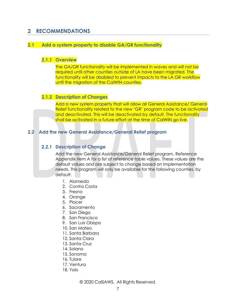### <span id="page-6-0"></span>**2 RECOMMENDATIONS**

#### <span id="page-6-1"></span>**2.1 Add a system property to disable GA/GR functionality**

#### **2.1.1 Overview**

The GA/GR functionality will be implemented in waves and will not be required until other counties outside of LA have been migrated. The functionality will be disabled to prevent impacts to the LA GR workflow until the migration of the CalWIN counties.

#### **2.1.2 Description of Changes**

Add a new system property that will allow all General Assistance/ General Relief functionality related to the new 'GR' program code to be activated and deactivated. This will be deactivated by default. The functionality shall be activated in a future effort at the time of CalWIN go live.

#### <span id="page-6-2"></span>**2.2 Add the new General Assistance/General Relief program**

#### **2.2.1 Description of Change**

Add the new General Assistance/General Relief program. Reference Appendix item A for a list of reference table values. These values are the default values and are subject to change based on implementation needs. This program will only be available for the following counties, by default:

- 1. Alameda
- 2. Contra Costa
- 3. Fresno
- 4. Orange
- 5. Placer
- 6. Sacramento
- 7. San Diego
- 8. San Francisco
- 9. San Luis Obispo
- 10. San Mateo
- 11. Santa Barbara
- 12. Santa Clara
- 13. Santa Cruz
- 14. Solano
- 15. Sonoma
- 16. Tulare
- 17. Ventura
- 18. Yolo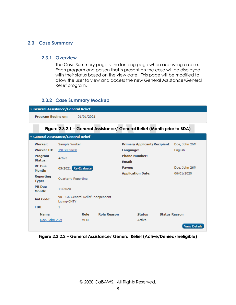#### <span id="page-7-1"></span><span id="page-7-0"></span>**2.3 Case Summary**

#### **2.3.1 Overview**

The Case Summary page is the landing page when accessing a case. Each program and person that is present on the case will be displayed with their status based on the view date. This page will be modified to allow the user to view and access the new General Assistance/General Relief program.

#### <span id="page-7-2"></span>**2.3.2 Case Summary Mockup**

| ∣ ▼ General Assistance/General Relief |            |  |  |
|---------------------------------------|------------|--|--|
| <b>Program Begins on:</b>             | 01/01/2021 |  |  |
|                                       |            |  |  |

#### **Figure 2.3.2.1 – General Assistance/ General Relief (Month prior to BDA)**

| v General Assistance/General Relief |                                                   |            |                      |                                     |                      |                     |  |  |  |
|-------------------------------------|---------------------------------------------------|------------|----------------------|-------------------------------------|----------------------|---------------------|--|--|--|
| Worker:                             | Sample Worker                                     |            |                      | <b>Primary Applicant/Recipient:</b> |                      | Doe, John 26M       |  |  |  |
| <b>Worker ID:</b>                   | 19LS009R00                                        |            |                      | Language:                           |                      | English             |  |  |  |
| Program                             | Active                                            |            | <b>Phone Number:</b> |                                     |                      |                     |  |  |  |
| Status:                             |                                                   |            |                      | Email:                              |                      |                     |  |  |  |
| <b>RE</b> Due<br>Month:             | 05/2021 Re-Evaluate                               |            |                      | Payee:                              |                      | Doe, John 26M       |  |  |  |
|                                     |                                                   |            |                      | <b>Application Date:</b>            |                      | 06/01/2020          |  |  |  |
| Reporting<br>Type:                  | Quarterly Reporting                               |            |                      |                                     |                      |                     |  |  |  |
| <b>PR</b> Due<br>Month:             | 11/2020                                           |            |                      |                                     |                      |                     |  |  |  |
| Aid Code:                           | 90 - GA General Relief Independent<br>Living-CNTY |            |                      |                                     |                      |                     |  |  |  |
| FBU:                                | $\mathbf{1}$                                      |            |                      |                                     |                      |                     |  |  |  |
| <b>Name</b>                         |                                                   | Role       | <b>Role Reason</b>   | <b>Status</b>                       | <b>Status Reason</b> |                     |  |  |  |
| Doe, John 26M                       |                                                   | <b>MEM</b> |                      | Active                              |                      |                     |  |  |  |
|                                     |                                                   |            |                      |                                     |                      | <b>View Details</b> |  |  |  |

**Figure 2.3.2.2 – General Assistance/ General Relief (Active/Denied/Ineligible)**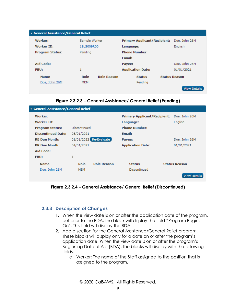| General Assistance/General Relief |               |                    |                                     |                      |  |  |  |  |
|-----------------------------------|---------------|--------------------|-------------------------------------|----------------------|--|--|--|--|
| Worker:                           | Sample Worker |                    | <b>Primary Applicant/Recipient:</b> | Doe, John 26M        |  |  |  |  |
| Worker ID:                        | 19LS009R00    |                    | Language:                           | English              |  |  |  |  |
| <b>Program Status:</b>            | Pending       |                    | <b>Phone Number:</b>                |                      |  |  |  |  |
|                                   |               |                    | Email:                              |                      |  |  |  |  |
| Aid Code:                         |               |                    | Payee:                              | Doe, John 26M        |  |  |  |  |
| <b>FBU:</b>                       | 1             |                    | <b>Application Date:</b>            | 01/01/2021           |  |  |  |  |
| <b>Name</b>                       | Role          | <b>Role Reason</b> | <b>Status</b>                       | <b>Status Reason</b> |  |  |  |  |
| Doe, John 26M                     | <b>MEM</b>    |                    | Pending                             |                      |  |  |  |  |
|                                   |               |                    |                                     | <b>View Details</b>  |  |  |  |  |

**Figure 2.3.2.3 – General Assistance/ General Relief (Pending)**

| General Assistance/General Relief |              |                        |                                     |                      |  |  |  |  |  |  |
|-----------------------------------|--------------|------------------------|-------------------------------------|----------------------|--|--|--|--|--|--|
| Worker:                           |              |                        | <b>Primary Applicant/Recipient:</b> | Doe, John 26M        |  |  |  |  |  |  |
| Worker ID:                        |              |                        | Language:                           | English              |  |  |  |  |  |  |
| <b>Program Status:</b>            | Discontinued |                        | <b>Phone Number:</b>                |                      |  |  |  |  |  |  |
| <b>Discontinued Date:</b>         | 05/01/2021   |                        | <b>Email:</b>                       |                      |  |  |  |  |  |  |
| <b>RE Due Month:</b>              |              | 01/01/2022 Re-Evaluate | Payee:                              | Doe, John 26M        |  |  |  |  |  |  |
| <b>PR Due Month</b>               | 04/01/2021   |                        | <b>Application Date:</b>            | 01/01/2021           |  |  |  |  |  |  |
| Aid Code:                         |              |                        |                                     |                      |  |  |  |  |  |  |
| FBU:                              | 1            |                        |                                     |                      |  |  |  |  |  |  |
| <b>Name</b>                       | Role         | <b>Role Reason</b>     | <b>Status</b>                       | <b>Status Reason</b> |  |  |  |  |  |  |
| Doe, John 26M                     | <b>MEM</b>   |                        | Discontinued                        |                      |  |  |  |  |  |  |
|                                   |              |                        |                                     | <b>View Details</b>  |  |  |  |  |  |  |

**Figure 2.3.2.4 – General Assistance/ General Relief (Discontinued)**

#### <span id="page-8-0"></span>**2.3.3 Description of Changes**

- 1. When the view date is on or after the application date of the program, but prior to the BDA, the block will display the field "Program Begins On". This field will display the BDA.
- 2. Add a section for the General Assistance/General Relief program. These blocks will display only for a date on or after the program's application date. When the view date is on or after the program's Beginning Date of Aid (BDA), the blocks will display with the following fields:
	- a. Worker: The name of the Staff assigned to the position that is assigned to the program.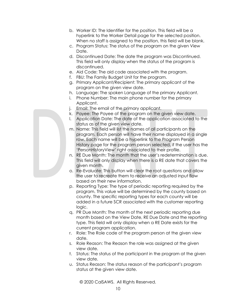- b. Worker ID: The Identifier for the position. This field will be a hyperlink to the Worker Detail page for the selected position. When no staff is assigned to the position, this field will be blank.
- c. Program Status: The status of the program on the given View Date.
- d. Discontinued Date: The date the program was Discontinued. This field will only display when the status of the program is discontinued.
- e. Aid Code: The aid code associated with the program.
- f. FBU: The Family Budget Unit for the program.
- g. Primary Applicant/Recipient: The primary applicant of the program on the given view date.
- h. Language: The spoken Language of the primary Applicant.
- i. Phone Number: The main phone number for the primary Applicant.
- j. Email: The email of the primary applicant.
- k. Payee: The Payee of the program on the given view date.
- l. Application Date: The date of the application associated to the status as of the given view date.
- m. Name: This field will list the names of all participants on the program. Each person will have their name displayed in a single row. Each name will be a hyperlink to the Program Person History page for the program person selected, if the user has the 'PersonHistoryView' right associated to their profile.
- n. RE Due Month: The month that the user's redetermination is due. This field will only display when there is a RE date that covers the given month.
- o. Re-Evaluate: This button will clear the root questions and allow the user to recreate them to receive an adjusted input flow based on their new information.
- p. Reporting Type: The type of periodic reporting required by the program. This value will be determined by the county based on county. The specific reporting types for each county will be added in a future SCR associated with the customer reporting logic.
- q. PR Due Month: The month of the next periodic reporting due month based on the View Date, RE Due Date and the reporting type. This field will only display when a RE Date exists for the current program application.
- r. Role: The Role code of the program person at the given view date.
- s. Role Reason: The Reason the role was assigned at the given view date.
- t. Status: The status of the participant in the program at the given view date.
- u. Status Reason: The status reason of the participant's program status at the given view date.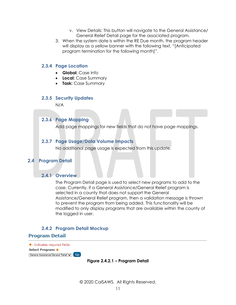- v. View Details: This button will navigate to the General Assistance/ General Relief Detail page for the associated program.
- 3. When the system date is within the RE Due month, the program header will display as a yellow banner with the following text, "[Anticipated program termination for the following month]".

#### <span id="page-10-0"></span>**2.3.4 Page Location**

- **Global:** Case Info
- **Local:** Case Summary
- **Task:** Case Summary

#### <span id="page-10-1"></span>**2.3.5 Security Updates**

N/A

#### <span id="page-10-2"></span>**2.3.6 Page Mapping**

Add page mappings for new fields that do not have page mappings.

#### <span id="page-10-3"></span>**2.3.7 Page Usage/Data Volume Impacts**

No additional page usage is expected from this update.

#### <span id="page-10-5"></span><span id="page-10-4"></span>**2.4 Program Detail**

#### **2.4.1 Overview**

The Program Detail page is used to select new programs to add to the case. Currently, if a General Assistance/General Relief program is selected in a county that does not support the General Assistance/General Relief program, then a validation message is thrown to prevent the program from being added. This functionality will be modified to only display programs that are available within the county of the logged in user.

#### **2.4.2 Program Detail Mockup**

#### <span id="page-10-6"></span>**Program Detail**

\*- Indicates required fields Select Program: \* General Assistance/General Relief v | Go

#### **Figure 2.4.2.1 – Program Detail**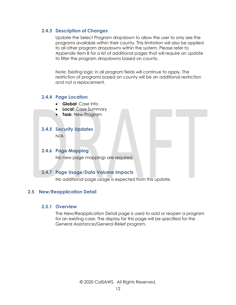#### <span id="page-11-0"></span>**2.4.3 Description of Changes**

Update the Select Program dropdown to allow the user to only see the programs available within their county. This limitation will also be applied to all other program dropdowns within the system. Please refer to Appendix item B for a list of additional pages that will require an update to filter the program dropdowns based on county.

Note: Existing logic in all program fields will continue to apply. The restriction of programs based on county will be an additional restriction and not a replacement.

#### <span id="page-11-1"></span>**2.4.4 Page Location**

- **Global:** Case Info
- **Local:** Case Summary
- **Task:** New Program

#### <span id="page-11-2"></span>**2.4.5 Security Updates**

N/A

#### <span id="page-11-3"></span>**2.4.6 Page Mapping**

No new page mappings are required.

#### <span id="page-11-4"></span>**2.4.7 Page Usage/Data Volume Impacts**

No additional page usage is expected from this update.

#### <span id="page-11-6"></span><span id="page-11-5"></span>**2.5 New/Reapplication Detail**

#### **2.5.1 Overview**

The New/Reapplication Detail page is used to add or reopen a program for an existing case. The display for this page will be specified for the General Assistance/General Relief program.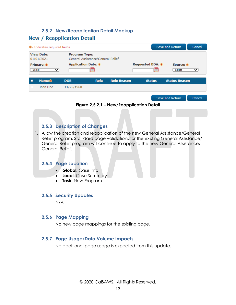### **2.5.2 New/Reapplication Detail Mockup**

### <span id="page-12-0"></span>**New / Reapplication Detail**

|                                                                                              | * - Indicates required fields |                            |             |                    | Save and Return<br>Cancel |                         |              |  |
|----------------------------------------------------------------------------------------------|-------------------------------|----------------------------|-------------|--------------------|---------------------------|-------------------------|--------------|--|
| <b>View Date:</b><br><b>Program Type:</b><br>General Assistance/General Relief<br>01/01/2021 |                               |                            |             |                    |                           |                         |              |  |
| $-$ Select $-$                                                                               | Primary: *<br>◡               | <b>Application Date: *</b> |             |                    | <b>Requested BDA: *</b>   | Source: *<br>- Select - | $\checkmark$ |  |
|                                                                                              | <b>Name &amp;</b>             | <b>DOB</b>                 | <b>Role</b> | <b>Role Reason</b> | <b>Status</b>             | <b>Status Reason</b>    |              |  |
| п                                                                                            | John Doe                      | 11/25/1960                 |             |                    |                           |                         |              |  |
|                                                                                              |                               |                            |             |                    |                           | Save and Return         | Cancel       |  |



#### <span id="page-12-1"></span>**2.5.3 Description of Changes**

1. Allow the creation and reapplication of the new General Assistance/General Relief program. Standard page validations for the existing General Assistance/ General Relief program will continue to apply to the new General Assistance/ General Relief.

#### <span id="page-12-2"></span>**2.5.4 Page Location**

- **Global:** Case Info
- **Local:** Case Summary
- **Task:** New Program

#### <span id="page-12-3"></span>**2.5.5 Security Updates**

N/A

#### <span id="page-12-4"></span>**2.5.6 Page Mapping**

No new page mappings for the existing page.

#### <span id="page-12-5"></span>**2.5.7 Page Usage/Data Volume Impacts**

No additional page usage is expected from this update.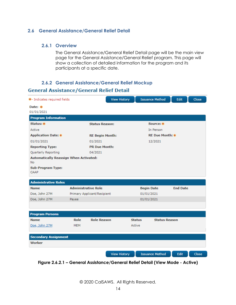#### <span id="page-13-1"></span><span id="page-13-0"></span>**2.6.1 Overview**

The General Assistance/General Relief Detail page will be the main view page for the General Assistance/General Relief program. This page will show a collection of detailed information for the program and its participants at a specific date.

#### **2.6.2 General Assistance/General Relief Mockup**

#### <span id="page-13-2"></span>**General Assistance/General Relief Detail**

| *- Indicates required fields                        |                            |                             | <b>View History</b> | <b>Issuance Method</b> | Edit                 | Close |
|-----------------------------------------------------|----------------------------|-----------------------------|---------------------|------------------------|----------------------|-------|
| Date: $*$<br>01/01/2021                             |                            |                             |                     |                        |                      |       |
| <b>Program Information</b>                          |                            |                             |                     |                        |                      |       |
| Status: *                                           |                            | <b>Status Reason:</b>       |                     | Source: *              |                      |       |
| Active                                              |                            |                             |                     | In Person              |                      |       |
| <b>Application Date: *</b>                          |                            | <b>RE Begin Month:</b>      |                     | <b>RE Due Month: *</b> |                      |       |
| 01/01/2021                                          |                            | 01/2021                     |                     | 12/2021                |                      |       |
| <b>Reporting Type:</b>                              |                            | <b>PR Due Month:</b>        |                     |                        |                      |       |
| Quarterly Reporting                                 |                            | 04/2021                     |                     |                        |                      |       |
| Automatically Reassign When Activated:<br><b>No</b> |                            |                             |                     |                        |                      |       |
| <b>Sub-Program Type:</b><br>CAAP                    |                            |                             |                     |                        |                      |       |
| <b>Administrative Roles</b>                         |                            |                             |                     |                        |                      |       |
| <b>Name</b>                                         | <b>Administrative Role</b> |                             |                     | <b>Begin Date</b>      | <b>End Date</b>      |       |
| Doe, John 27M                                       |                            | Primary Applicant/Recipient |                     | 01/01/2021             |                      |       |
| Doe, John 27M                                       | Payee                      |                             |                     | 01/01/2021             |                      |       |
|                                                     |                            |                             |                     |                        |                      |       |
| <b>Program Persons</b>                              |                            |                             |                     |                        |                      |       |
| <b>Name</b>                                         | Role                       | <b>Role Reason</b>          |                     | <b>Status</b>          | <b>Status Reason</b> |       |
| Doe, John 27M                                       | <b>MEM</b>                 |                             |                     | Active                 |                      |       |
|                                                     |                            |                             |                     |                        |                      |       |
| <b>Secondary Assignment</b>                         |                            |                             |                     |                        |                      |       |
| Worker                                              |                            |                             |                     |                        |                      |       |
|                                                     |                            |                             |                     |                        |                      |       |
|                                                     |                            |                             | <b>View History</b> | <b>Issuance Method</b> | Edit                 | Close |

**Figure 2.6.2.1 – General Assistance/General Relief Detail (View Mode - Active)**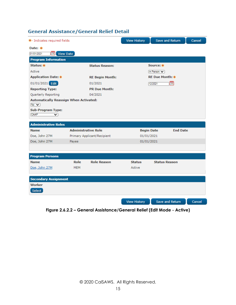| *- Indicates required fields                                  |                            |                             | <b>View History</b> | Save and Return        | Cancel |
|---------------------------------------------------------------|----------------------------|-----------------------------|---------------------|------------------------|--------|
| Date: $*$                                                     |                            |                             |                     |                        |        |
| m<br>View Date<br>01/01/2021                                  |                            |                             |                     |                        |        |
| <b>Program Information</b>                                    |                            |                             |                     |                        |        |
| Status: *                                                     |                            | <b>Status Reason:</b>       |                     | Source: *              |        |
| Active                                                        |                            |                             |                     | In Person $\vee$       |        |
| <b>Application Date: *</b>                                    |                            | <b>RE Begin Month:</b>      |                     | <b>RE Due Month: *</b> |        |
| 01/01/2021 Edit                                               |                            | 01/2021                     |                     | 12/2021                |        |
| <b>Reporting Type:</b>                                        |                            | <b>PR Due Month:</b>        |                     |                        |        |
| Quarterly Reporting                                           |                            | 04/2021                     |                     |                        |        |
| <b>Automatically Reassign When Activated:</b><br>$N_0$ $\vee$ |                            |                             |                     |                        |        |
| <b>Sub-Program Type:</b><br>CAAP<br>び                         |                            |                             |                     |                        |        |
|                                                               |                            |                             |                     |                        |        |
| <b>Administrative Roles</b>                                   |                            |                             |                     |                        |        |
| <b>Name</b>                                                   | <b>Administrative Role</b> |                             | <b>Begin Date</b>   | <b>End Date</b>        |        |
| Doe, John 27M                                                 |                            | Primary Applicant/Recipient | 01/01/2021          |                        |        |
| Doe, John 27M                                                 | Payee                      |                             | 01/01/2021          |                        |        |
|                                                               |                            |                             |                     |                        |        |
| <b>Program Persons</b>                                        |                            |                             |                     |                        |        |
| <b>Name</b>                                                   | Role                       | <b>Role Reason</b>          | <b>Status</b>       | <b>Status Reason</b>   |        |
| Doe, John 27M                                                 | <b>MEM</b>                 |                             | Active              |                        |        |
|                                                               |                            |                             |                     |                        |        |
| <b>Secondary Assignment</b>                                   |                            |                             |                     |                        |        |
| Worker                                                        |                            |                             |                     |                        |        |
| Select                                                        |                            |                             |                     |                        |        |
|                                                               |                            |                             | <b>View History</b> | Save and Return        | Cancel |

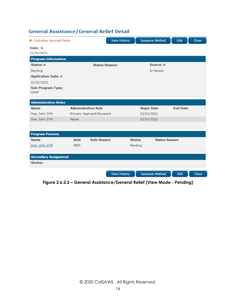| *- Indicates required fields     |            |                             | <b>View History</b> |                   | <b>Issuance Method</b> | Edit            | Close |
|----------------------------------|------------|-----------------------------|---------------------|-------------------|------------------------|-----------------|-------|
| Date: *                          |            |                             |                     |                   |                        |                 |       |
| 01/01/2021                       |            |                             |                     |                   |                        |                 |       |
| <b>Program Information</b>       |            |                             |                     |                   |                        |                 |       |
| Status: *                        |            | <b>Status Reason:</b>       |                     |                   | Source: *              |                 |       |
| Pending                          |            |                             |                     |                   | In Person              |                 |       |
| <b>Application Date: *</b>       |            |                             |                     |                   |                        |                 |       |
| 01/01/2021                       |            |                             |                     |                   |                        |                 |       |
| <b>Sub-Program Type:</b><br>CAAP |            |                             |                     |                   |                        |                 |       |
| <b>Administrative Roles</b>      |            |                             |                     |                   |                        |                 |       |
| <b>Name</b>                      |            | <b>Administrative Role</b>  |                     | <b>Begin Date</b> |                        | <b>End Date</b> |       |
| Doe, John 27M                    |            | Primary Applicant/Recipient |                     | 01/01/2021        |                        |                 |       |
| Doe, John 27M                    | Payee      |                             |                     | 01/01/2021        |                        |                 |       |
|                                  |            |                             |                     |                   |                        |                 |       |
| <b>Program Persons</b>           |            |                             |                     |                   |                        |                 |       |
| <b>Name</b>                      | Role       | <b>Role Reason</b>          |                     | <b>Status</b>     | <b>Status Reason</b>   |                 |       |
| Doe, John 27M                    | <b>MEM</b> |                             |                     | Pending           |                        |                 |       |
| <b>Secondary Assignment</b>      |            |                             |                     |                   |                        |                 |       |
| Worker                           |            |                             |                     |                   |                        |                 |       |
|                                  |            |                             | <b>View History</b> |                   | <b>Issuance Method</b> | Edit            | Close |

**Figure 2.6.2.3 – General Assistance/General Relief (View Mode - Pending)**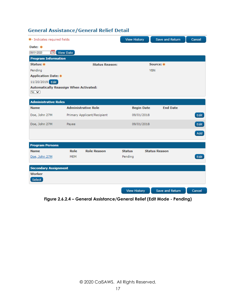| *- Indicates required fields                                          |            |                             | <b>View History</b> |            | Save and Return      | Cancel |
|-----------------------------------------------------------------------|------------|-----------------------------|---------------------|------------|----------------------|--------|
| Date: *                                                               |            |                             |                     |            |                      |        |
| 08/01/2020<br>m                                                       | View Date  |                             |                     |            |                      |        |
| <b>Program Information</b>                                            |            |                             |                     |            |                      |        |
| Status: *                                                             |            | <b>Status Reason:</b>       |                     |            | Source: *            |        |
| Pending                                                               |            |                             |                     | <b>YBN</b> |                      |        |
| <b>Application Date: *</b>                                            |            |                             |                     |            |                      |        |
| 11/20/2019 Edit                                                       |            |                             |                     |            |                      |        |
| <b>Automatically Reassign When Activated:</b><br>$No \nightharpoonup$ |            |                             |                     |            |                      |        |
|                                                                       |            |                             |                     |            |                      |        |
| <b>Administrative Roles</b>                                           |            |                             |                     |            |                      |        |
| <b>Name</b>                                                           |            | <b>Administrative Role</b>  | <b>Begin Date</b>   |            | <b>End Date</b>      |        |
| Doe, John 27M                                                         |            | Primary Applicant/Recipient | 09/01/2018          |            |                      | Edit   |
| Doe, John 27M                                                         | Payee      |                             | 09/01/2018          |            |                      | Edit   |
|                                                                       |            |                             |                     |            |                      | Add    |
|                                                                       |            |                             |                     |            |                      |        |
| <b>Program Persons</b>                                                |            |                             |                     |            |                      |        |
| <b>Name</b>                                                           | Role       | <b>Role Reason</b>          | <b>Status</b>       |            | <b>Status Reason</b> |        |
| Doe, John 27M                                                         | <b>MEM</b> |                             | Pending             |            |                      | Edit   |
|                                                                       |            |                             |                     |            |                      |        |
| <b>Secondary Assignment</b>                                           |            |                             |                     |            |                      |        |
| Worker                                                                |            |                             |                     |            |                      |        |
| Select                                                                |            |                             |                     |            |                      |        |
|                                                                       |            |                             | <b>View History</b> |            | Save and Return      | Cancel |

**Figure 2.6.2.4 – General Assistance/General Relief (Edit Mode - Pending)**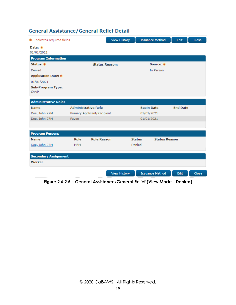| *- Indicates required fields |            |                             | <b>View History</b>   |               | <b>Issuance Method</b> | Edit            | Close |
|------------------------------|------------|-----------------------------|-----------------------|---------------|------------------------|-----------------|-------|
| Date: *                      |            |                             |                       |               |                        |                 |       |
| 01/01/2021                   |            |                             |                       |               |                        |                 |       |
| <b>Program Information</b>   |            |                             |                       |               |                        |                 |       |
| Status: *                    |            |                             | <b>Status Reason:</b> |               | Source: *              |                 |       |
| Denied                       |            |                             |                       |               | In Person              |                 |       |
| <b>Application Date: *</b>   |            |                             |                       |               |                        |                 |       |
| 01/01/2021                   |            |                             |                       |               |                        |                 |       |
| <b>Sub-Program Type:</b>     |            |                             |                       |               |                        |                 |       |
| CAAP                         |            |                             |                       |               |                        |                 |       |
| <b>Administrative Roles</b>  |            |                             |                       |               |                        |                 |       |
| <b>Name</b>                  |            | <b>Administrative Role</b>  |                       |               | <b>Begin Date</b>      | <b>End Date</b> |       |
| Doe, John 27M                |            | Primary Applicant/Recipient |                       | 01/01/2021    |                        |                 |       |
| Doe, John 27M                | Payee      |                             |                       | 01/01/2021    |                        |                 |       |
|                              |            |                             |                       |               |                        |                 |       |
|                              |            |                             |                       |               |                        |                 |       |
| <b>Program Persons</b>       |            |                             |                       |               |                        |                 |       |
| <b>Name</b>                  | Role       | <b>Role Reason</b>          |                       | <b>Status</b> | <b>Status Reason</b>   |                 |       |
| Doe, John 27M                | <b>MEM</b> |                             |                       | Denied        |                        |                 |       |
|                              |            |                             |                       |               |                        |                 |       |
| <b>Secondary Assignment</b>  |            |                             |                       |               |                        |                 |       |
| Worker                       |            |                             |                       |               |                        |                 |       |
|                              |            |                             |                       |               |                        |                 |       |
|                              |            |                             | <b>View History</b>   |               | <b>Issuance Method</b> | Edit            | Close |

**Figure 2.6.2.5 – General Assistance/General Relief (View Mode - Denied)**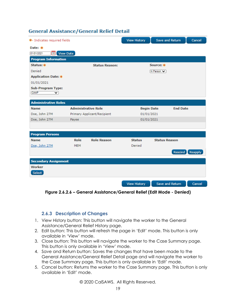| *- Indicates required fields |            |                             | <b>View History</b> | Save and Return      | Cancel          |
|------------------------------|------------|-----------------------------|---------------------|----------------------|-----------------|
| Date: $*$                    |            |                             |                     |                      |                 |
| 01/01/2021<br>View Date<br>œ |            |                             |                     |                      |                 |
| <b>Program Information</b>   |            |                             |                     |                      |                 |
| Status: *                    |            | <b>Status Reason:</b>       |                     | Source: *            |                 |
| Denied                       |            |                             |                     | In Person            |                 |
| <b>Application Date: *</b>   |            |                             |                     |                      |                 |
| 01/01/2021                   |            |                             |                     |                      |                 |
| <b>Sub-Program Type:</b>     |            |                             |                     |                      |                 |
| CAAP<br>╰                    |            |                             |                     |                      |                 |
| <b>Administrative Roles</b>  |            |                             |                     |                      |                 |
| <b>Name</b>                  |            | <b>Administrative Role</b>  | <b>Begin Date</b>   | <b>End Date</b>      |                 |
| Doe, John 27M                |            | Primary Applicant/Recipient | 01/01/2021          |                      |                 |
| Doe, John 27M                | Payee      |                             | 01/01/2021          |                      |                 |
|                              |            |                             |                     |                      |                 |
| <b>Program Persons</b>       |            |                             |                     |                      |                 |
| <b>Name</b>                  | Role       | <b>Role Reason</b>          | <b>Status</b>       | <b>Status Reason</b> |                 |
| Doe, John 27M                | <b>MEM</b> |                             | Denied              |                      |                 |
|                              |            |                             |                     |                      | Rescind Reapply |
| <b>Secondary Assignment</b>  |            |                             |                     |                      |                 |
| Worker                       |            |                             |                     |                      |                 |
| Select                       |            |                             |                     |                      |                 |
|                              |            |                             |                     |                      |                 |
|                              |            |                             | <b>View History</b> | Save and Return      | Cancel          |

**Figure 2.6.2.6 – General Assistance/General Relief (Edit Mode - Denied)**

#### <span id="page-18-0"></span>**2.6.3 Description of Changes**

- 1. View History button: This button will navigate the worker to the General Assistance/General Relief History page.
- 2. Edit button: This button will refresh the page in 'Edit' mode. This button is only available in 'View' mode.
- 3. Close button: This button will navigate the worker to the Case Summary page. This button is only available in 'View' mode.
- 4. Save and Return button: Saves the changes that have been made to the General Assistance/General Relief Detail page and will navigate the worker to the Case Summary page. This button is only available in 'Edit' mode.
- 5. Cancel button: Returns the worker to the Case Summary page. This button is only available in 'Edit' mode.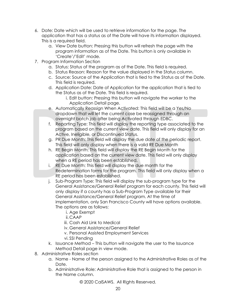- 6. Date: Date which will be used to retrieve information for the page. The application that has a status as of the Date will have its information displayed. This is a required field.
	- a. View Date button: Pressing this button will refresh the page with the program information as of the Date. This button is only available in 'Create'/'Edit' mode.
- 7. Program Information Section
	- a. Status: Status of the program as of the Date. This field is required.
	- b. Status Reason: Reason for the value displayed in the Status column.
	- c. Source: Source of the Application that is tied to the Status as of the Date. This field is required.
	- d. Application Date: Date of Application for the application that is tied to the Status as of the Date. This field is required.
		- i. Edit button: Pressing this button will navigate the worker to the Application Detail page.
	- e. Automatically Reassign When Activated: This field will be a Yes/No dropdown that will let the current case be reassigned through an overnight batch job after being Activated through EDBC.
	- f. Reporting Type: This field will display the reporting type associated to the program based on the current view date. This field will only display for an Active, Ineligible, or Discontinued Status.
	- g. PR Due Month: This field will display the due date of the periodic report. This field will only display when there is a valid RE Due Month
	- h. RE Begin Month: This field will display the RE Begin Month for the application based on the current view date. This field will only display when a RE period has been established.
	- i. RE Due Month: This field will display the due month for the Redetermination forms for the program. This field will only display when a RE period has been established.
	- j. Sub-Program Type: This field will display the sub-program type for the General Assistance/General Relief program for each county. This field will only display if a county has a Sub-Program Type available for their General Assistance/General Relief program. At the time of implementation, only San Francisco County will have options available. The options are as follows:
		- i. Age Exempt
		- ii. CAAP
		- iii. Cash Aid Link to Medical
		- iv. General Assistance/General Relief
		- v. Personal Assisted Employment Services
		- vi. SSI Pending
	- k. Issuance Method This button will navigate the user to the Issuance Method Detail page in view mode.
- 8. Administrative Roles section
	- a. Name Name of the person assigned to the Administrative Roles as of the Date.
	- b. Administrative Role: Administrative Role that is assigned to the person in the Name column.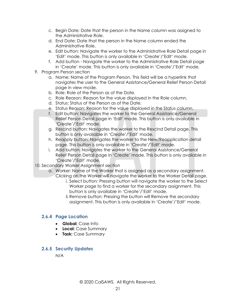- c. Begin Date: Date that the person in the Name column was assigned to the Administrative Role.
- d. End Date: Date that the person in the Name column ended the Administrative Role.
- e. Edit button: Navigate the worker to the Administrative Role Detail page in 'Edit' mode. This button is only available in 'Create'/'Edit' mode.
- f. Add button Navigate the worker to the Administrative Role Detail page in 'Create' mode. This button is only available in 'Create'/'Edit' mode.
- 9. Program Person section
	- a. Name: Name of the Program Person. This field will be a hyperlink that navigates the user to the General Assistance/General Relief Person Detail page in view mode.
	- b. Role: Role of the Person as of the Date.
	- c. Role Reason: Reason for the value displayed in the Role column.
	- d. Status: Status of the Person as of the Date.
	- e. Status Reason: Reason for the value displayed in the Status column.
	- f. Edit button: Navigates the worker to the General Assistance/General Relief Person Detail page in 'Edit' mode. This button is only available in 'Create'/'Edit' mode.
	- g. Rescind button: Navigates the worker to the Rescind Detail page. This button is only available in 'Create'/'Edit' mode.
	- h. Reapply button: Navigates the worker to the New/Reapplication detail page. This button is only available in 'Create'/'Edit' mode.
	- i. Add button: Navigates the worker to the General Assistance/General Relief Person Detail page in 'Create' mode. This button is only available in 'Create'/'Edit' mode.
- 10. Secondary Worker Assignment section
	- a. Worker: Name of the Worker that is assigned as a secondary assignment.
		- Clicking on the Worker will navigate the worker to the Worker Detail page. i. Select button: Pressing button will navigate the worker to the Select Worker page to find a worker for the secondary assignment. This
			- button is only available in 'Create'/'Edit' mode.
			- ii.Remove button: Pressing the button will Remove the secondary assignment. This button is only available in 'Create'/'Edit' mode.

#### <span id="page-20-0"></span>**2.6.4 Page Location**

- **Global:** Case Info
- **Local:** Case Summary
- **Task:** Case Summary

#### <span id="page-20-1"></span>**2.6.5 Security Updates**

N/A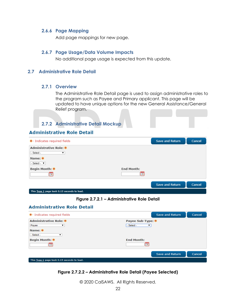#### <span id="page-21-0"></span>**2.6.6 Page Mapping**

Add page mappings for new page.

#### <span id="page-21-1"></span>**2.6.7 Page Usage/Data Volume Impacts**

No additional page usage is expected from this update.

#### <span id="page-21-3"></span><span id="page-21-2"></span>**2.7 Administrative Role Detail**

#### **2.7.1 Overview**

The Administrative Role Detail page is used to assign administrative roles to the program such as Payee and Primary applicant. This page will be updated to have unique options for the new General Assistance/General Relief program.

### <span id="page-21-4"></span>**2.7.2 Administrative Detail Mockup**

#### **Administrative Role Detail**

| * Indicates required fields                                                 |                   | <b>Save and Return</b> | Cancel |
|-----------------------------------------------------------------------------|-------------------|------------------------|--------|
| <b>Administrative Role: *</b><br>- Select -<br>۷<br>Name: *<br>- Select - ▼ |                   |                        |        |
| Begin Month: *                                                              | <b>End Month:</b> |                        |        |
|                                                                             |                   | <b>Save and Return</b> | Cancel |
| This Type 1 page took 0.13 seconds to load.                                 |                   |                        |        |

**Figure 2.7.2.1 – Administrative Role Detail** 

#### **Administrative Role Detail**

| * Indicates required fields                 | <b>Save and Return</b>          | Cancel |
|---------------------------------------------|---------------------------------|--------|
| <b>Administrative Role: *</b><br>Payee<br>▼ | Payee Sub-Type: *<br>- Select - |        |
| Name: *<br>- Select -                       |                                 |        |
| Begin Month: *                              | <b>End Month:</b>               |        |
|                                             | Save and Return                 | Cancel |
| This Type 1 page took 0.15 seconds to load. |                                 |        |

#### **Figure 2.7.2.2 – Administrative Role Detail (Payee Selected)**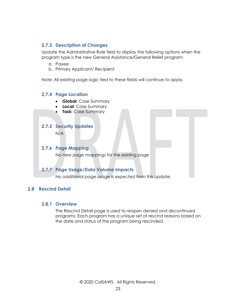#### <span id="page-22-0"></span>**2.7.3 Description of Changes**

Update the Administrative Role field to display the following options when the program type is the new General Assistance/General Relief program:

- a. Payee
- b. Primary Applicant/ Recipient

<span id="page-22-1"></span>Note: All existing page logic tied to these fields will continue to apply.

#### **2.7.4 Page Location**

- **Global:** Case Summary
- **Local:** Case Summary
- **Task:** Case Summary

#### <span id="page-22-2"></span>**2.7.5 Security Updates**

N/A

#### <span id="page-22-3"></span>**2.7.6 Page Mapping**

No new page mappings for the existing page

#### <span id="page-22-4"></span>**2.7.7 Page Usage/Data Volume Impacts**

No additional page usage is expected from this update.

#### <span id="page-22-6"></span><span id="page-22-5"></span>**2.8 Rescind Detail**

#### **2.8.1 Overview**

The Rescind Detail page is used to reopen denied and discontinued programs. Each program has a unique set of rescind reasons based on the date and status of the program being rescinded.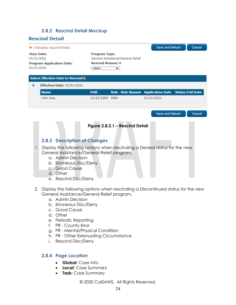#### **2.8.2 Rescind Detail Mockup**

#### <span id="page-23-0"></span>**Rescind Detail**

|            | *- Indicates required fields                                        |                                                                                                                    |            |  | Save and Return                                   |  | Cancel |
|------------|---------------------------------------------------------------------|--------------------------------------------------------------------------------------------------------------------|------------|--|---------------------------------------------------|--|--------|
| 01/21/2021 | <b>View Date:</b><br><b>Program Application Date:</b><br>01/01/2021 | <b>Program Type:</b><br>General Assistance/General Relief<br><b>Rescind Reason: *</b><br>- Select -<br>$\check{ }$ |            |  |                                                   |  |        |
|            | <b>Select Effective Date to Rescind &amp;</b>                       |                                                                                                                    |            |  |                                                   |  |        |
| ۵          | <b>Effective Date: 01/01/2021</b>                                   |                                                                                                                    |            |  |                                                   |  |        |
|            | <b>Name</b>                                                         | <b>DOB</b>                                                                                                         |            |  | Role Role Reason Application Date Status End Date |  |        |
|            | John Doe                                                            | 11/23/1993                                                                                                         | <b>MEM</b> |  | 01/01/2021                                        |  |        |
|            |                                                                     |                                                                                                                    |            |  | Save and Return                                   |  | Cancel |

### <span id="page-23-1"></span>**Figure 2.8.2.1 – Rescind Detail 2.8.3 Description of Changes** 1. Display the following options when rescinding a Denied status for the new General Assistance/General Relief program. a. Admin Decision b. Erroneous Disc/Deny c. Good Cause

- d. Other
- e. Rescind Disc/Deny
- 2. Display the following options when rescinding a Discontinued status for the new General Assistance/General Relief program.
	- a. Admin Decision
	- b. Erroneous Disc/Deny
	- c. Good Cause
	- d. Other
	- e. Periodic Reporting
	- f. PR County Error
	- g. PR Mental/Physical Condition
	- h. PR Other Extenuating Circumstance
	- i. Rescind Disc/Deny

#### <span id="page-23-2"></span>**2.8.4 Page Location**

- **Global:** Case Info
- **Local:** Case Summary
- **Task:** Case Summary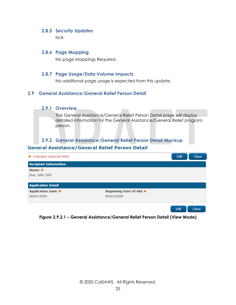#### <span id="page-24-0"></span>**2.8.5 Security Updates**

N/A

#### <span id="page-24-1"></span>**2.8.6 Page Mapping**

No page Mappings Required.

#### <span id="page-24-2"></span>**2.8.7 Page Usage/Data Volume Impacts**

No additional page usage is expected from this update.

#### <span id="page-24-4"></span><span id="page-24-3"></span>**2.9 General Assistance/General Relief Person Detail**

#### **2.9.1 Overview**

The General Assistance/General Relief Person Detail page will display detailed information for the General Assistance/General Relief program person.

#### <span id="page-24-5"></span>**2.9.2 General Assistance/General Relief Person Detail Mockup**

| * Indicates required fields  |                          | Edit | <b>Close</b> |
|------------------------------|--------------------------|------|--------------|
| <b>Recipient Information</b> |                          |      |              |
| Name: $*$                    |                          |      |              |
| Doe, John 26M                |                          |      |              |
|                              |                          |      |              |
| <b>Application Detail</b>    |                          |      |              |
| <b>Application Date: *</b>   | Beginning Date Of Aid: * |      |              |
| 06/01/2020                   | 06/01/2020               |      |              |
|                              |                          |      |              |
|                              |                          | Edit | Close        |

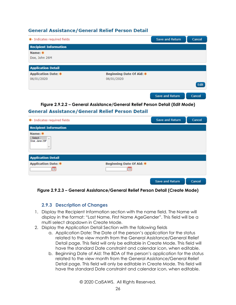| *- Indicates required fields             |                                        | <b>Save and Return</b> | Cancel |
|------------------------------------------|----------------------------------------|------------------------|--------|
| <b>Recipient Information</b>             |                                        |                        |        |
| Name: *<br>Doe, John 26M                 |                                        |                        |        |
| <b>Application Detail</b>                |                                        |                        |        |
| <b>Application Date: *</b><br>06/01/2020 | Beginning Date Of Aid: *<br>06/01/2020 |                        |        |
|                                          |                                        |                        | Edit   |
|                                          |                                        | <b>Save and Return</b> | Cancel |

**Figure 2.9.2.2 – General Assistance/General Relief Person Detail (Edit Mode)**

#### **General Assistance/General Relief Person Detail**

| * Indicates required fields                                        |                          | <b>Save and Return</b> | Cancel |
|--------------------------------------------------------------------|--------------------------|------------------------|--------|
| <b>Recipient Information</b>                                       |                          |                        |        |
| Name: *<br>- Select -<br>Doe, Jane 25F<br>$\overline{\phantom{a}}$ |                          |                        |        |
| <b>Application Detail</b>                                          |                          |                        |        |
| <b>Application Date: *</b>                                         | Beginning Date Of Aid: * |                        |        |
|                                                                    |                          |                        |        |
|                                                                    |                          | <b>Save and Return</b> | Cancel |

<span id="page-25-0"></span>**Figure 2.9.2.3 – General Assistance/General Relief Person Detail (Create Mode)**

#### **2.9.3 Description of Changes**

- 1. Display the Recipient Information section with the name field. The Name will display in the format: "Last Name, First Name AgeGender". This field will be a multi select dropdown in Create Mode.
- 2. Display the Application Detail Section with the following fields
	- a. Application Date: The Date of the person's application for the status related to the view month from the General Assistance/General Relief Detail page. This field will only be editable in Create Mode. This field will have the standard Date constraint and calendar icon, when editable.
	- b. Beginning Date of Aid: The BDA of the person's application for the status related to the view month from the General Assistance/General Relief Detail page. This field will only be editable in Create Mode. This field will have the standard Date constraint and calendar icon, when editable.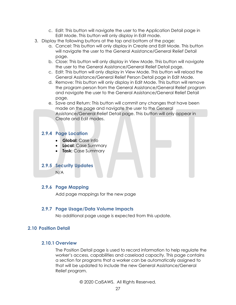- c. Edit: This button will navigate the user to the Application Detail page in Edit Mode. This button will only display in Edit mode.
- 3. Display the following buttons at the top and bottom of the page:
	- a. Cancel: This button will only display in Create and Edit Mode. This button will navigate the user to the General Assistance/General Relief Detail page.
	- b. Close: This button will only display in View Mode. This button will navigate the user to the General Assistance/General Relief Detail page.
	- c. Edit: This button will only display in View Mode. This button will reload the General Assistance/General Relief Person Detail page in Edit Mode.
	- d. Remove: This button will only display in Edit Mode. This button will remove the program person from the General Assistance/General Relief program and navigate the user to the General Assistance/General Relief Detail page.
	- e. Save and Return: This button will commit any changes that have been made on the page and navigate the user to the General Assistance/General Relief Detail page. This button will only appear in Create and Edit modes.

#### <span id="page-26-0"></span>**2.9.4 Page Location**

- **Global:** Case Info
- **Local:** Case Summary
- **Task:** Case Summary

#### <span id="page-26-1"></span>**2.9.5 Security Updates**

N/A

#### <span id="page-26-2"></span>**2.9.6 Page Mapping**

Add page mappings for the new page

#### <span id="page-26-3"></span>**2.9.7 Page Usage/Data Volume Impacts**

No additional page usage is expected from this update.

#### <span id="page-26-5"></span><span id="page-26-4"></span>**2.10 Position Detail**

#### **2.10.1 Overview**

The Position Detail page is used to record information to help regulate the worker's access, capabilities and caseload capacity. This page contains a section for programs that a worker can be automatically assigned to that will be updated to include the new General Assistance/General Relief program.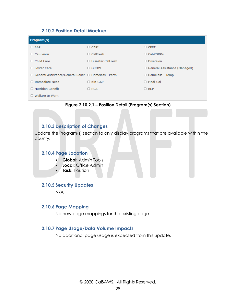#### **2.10.2 Position Detail Mockup**

<span id="page-27-0"></span>

| Program(s)                                            |                     |                                |
|-------------------------------------------------------|---------------------|--------------------------------|
| $\Box$ AAP                                            | $\Box$ CAPI         | $\Box$ CFET                    |
| $\Box$ Cal-Learn                                      | $\Box$ CalFresh     | $\Box$ CalWORKs                |
| $\Box$ Child Care                                     | □ Disaster CalFresh | $\Box$ Diversion               |
| $\Box$ Foster Care                                    | $\Box$ GROW         | □ General Assistance (Managed) |
| □ General Assistance/General Relief □ Homeless - Perm |                     | $\Box$ Homeless - Temp         |
| $\Box$ Immediate Need                                 | $\Box$ Kin-GAP      | $\Box$ Medi-Cal                |
| $\Box$ Nutrition Benefit                              | $\Box$ RCA          | $\Box$ REP                     |
| $\Box$ Welfare to Work                                |                     |                                |

**Figure 2.10.2.1 – Position Detail (Program(s) Section)**

#### <span id="page-27-1"></span>**2.10.3 Description of Changes**

<span id="page-27-2"></span>Update the Program(s) section to only display programs that are available within the county.

#### **2.10.4 Page Location**

- **Global:** Admin Tools
- **Local:** Office Admin
- **Task:** Position

#### <span id="page-27-3"></span>**2.10.5 Security Updates**

N/A

#### <span id="page-27-4"></span>**2.10.6 Page Mapping**

No new page mappings for the existing page

#### <span id="page-27-5"></span>**2.10.7 Page Usage/Data Volume Impacts**

No additional page usage is expected from this update.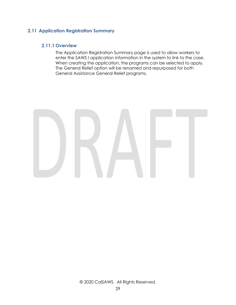#### <span id="page-28-1"></span><span id="page-28-0"></span>**2.11 Application Registration Summary**

#### **2.11.1 Overview**

The Application Registration Summary page is used to allow workers to enter the SAWS I application information in the system to link to the case. When creating the application, the programs can be selected to apply. The General Relief option will be renamed and repurposed for both General Assistance General Relief programs.

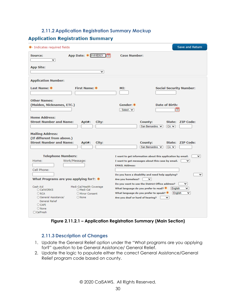#### **2.11.2 Application Registration Summary Mockup**

#### <span id="page-29-0"></span>**Application Registration Summary**

| *- Indicates required fields                                                                                                                                                                                | <b>Save and Return</b>                                                                                                                                                                                                               |
|-------------------------------------------------------------------------------------------------------------------------------------------------------------------------------------------------------------|--------------------------------------------------------------------------------------------------------------------------------------------------------------------------------------------------------------------------------------|
| App Date: * 01/01/2021<br>Source:<br>╰<br><b>App Site:</b><br>◡                                                                                                                                             | <b>Case Number:</b>                                                                                                                                                                                                                  |
| <b>Application Number:</b>                                                                                                                                                                                  |                                                                                                                                                                                                                                      |
| Last Name: *<br><b>First Name: *</b>                                                                                                                                                                        | MI:<br><b>Social Security Number:</b>                                                                                                                                                                                                |
| <b>Other Names:</b><br>(Maiden, Nicknames, ETC.)                                                                                                                                                            | Gender: *<br><b>Date of Birth:</b><br>- Select - $\vee$                                                                                                                                                                              |
| <b>Home Address:</b><br><b>Street Number and Name:</b><br>Apt#:<br>City:                                                                                                                                    | County:<br>State: ZIP Code:<br>San Bernardino V<br>$ CA - \mathbf{v} $                                                                                                                                                               |
| <b>Mailing Address:</b><br>(If different from above.)<br><b>Street Number and Name:</b><br>Apt#:<br>City:                                                                                                   | State: ZIP Code:<br>County:<br>San Bernardino V<br>$CA$ $\vee$                                                                                                                                                                       |
| <b>Telephone Numbers:</b><br>Home:<br>Work/Message:<br>Cell Phone:<br>What Programs are you applying for?: $*$                                                                                              | ◡<br>I want to get information about this application by email.<br>I want to get messages about this case by email.<br>◡<br><b>EMAIL Address:</b><br>Do you have a disability and need help applying?<br>◡<br>Are you homeless?<br>⌄ |
| Cash Aid<br>Medi-Cal/Health Coverage<br>O CalWORKS<br>O Medi-Cal<br>ORCA<br>O Minor Consent<br>O General Assistance/<br>$\bigcirc$ None<br><b>General Relief</b><br>$O$ CAPI<br>$O$ None<br>$\Box$ CalFresh | Do you want to use the District Office address?<br>び<br>What language do you prefer to read? $*$<br>English<br>v<br>What language do you prefer to speak? $*$<br>English<br>v<br>Are you deaf or hard of hearing?<br>◡               |

**Figure 2.11.2.1 – Application Registration Summary (Main Section)**

#### <span id="page-29-1"></span>**2.11.3 Description of Changes**

- 1. Update the General Relief option under the "What programs are you applying for?" question to be General Assistance/ General Relief.
- 2. Update the logic to populate either the correct General Assistance/General Relief program code based on county.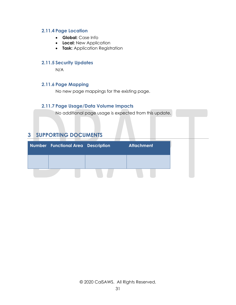#### <span id="page-30-0"></span>**2.11.4 Page Location**

- **Global:** Case Info
- **Local:** New Application
- **Task:** Application Registration

#### <span id="page-30-1"></span>**2.11.5 Security Updates**

N/A

#### <span id="page-30-2"></span>**2.11.6 Page Mapping**

No new page mappings for the existing page.

#### <span id="page-30-3"></span>**2.11.7 Page Usage/Data Volume Impacts**

No additional page usage is expected from this update.

### <span id="page-30-4"></span>**3 SUPPORTING DOCUMENTS**

| <b>Number Functional Area Description</b> | <b>Attachment</b> |
|-------------------------------------------|-------------------|
|                                           |                   |
|                                           |                   |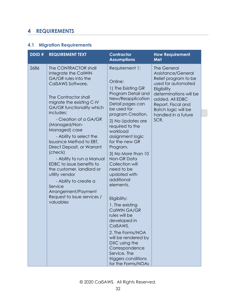### <span id="page-31-0"></span>**4 REQUIREMENTS**

### <span id="page-31-1"></span>**4.1 Migration Requirements**

| DDID# | <b>REQUIREMENT TEXT</b>                                                                                                                                                                                                                                                                                                                                                                                                                                                                                                                                            | <b>Contractor</b><br><b>Assumptions</b>                                                                                                                                                                                                                                                                                                                                                                                                                                                                                                                                                                              | <b>How Requirement</b><br><b>Met</b>                                                                                                                                                                                                  |
|-------|--------------------------------------------------------------------------------------------------------------------------------------------------------------------------------------------------------------------------------------------------------------------------------------------------------------------------------------------------------------------------------------------------------------------------------------------------------------------------------------------------------------------------------------------------------------------|----------------------------------------------------------------------------------------------------------------------------------------------------------------------------------------------------------------------------------------------------------------------------------------------------------------------------------------------------------------------------------------------------------------------------------------------------------------------------------------------------------------------------------------------------------------------------------------------------------------------|---------------------------------------------------------------------------------------------------------------------------------------------------------------------------------------------------------------------------------------|
| 2686  | The CONTRACTOR shall<br>integrate the CalWIN<br>GA/GR rules into the<br>CalSAWS Software.<br>The Contractor shall<br>migrate the existing C-IV<br>GA/GR functionality which<br>includes:<br>- Creation of a GA/GR<br>(Managed/Non-<br>Managed) case<br>- Ability to select the<br>Issuance Method to EBT,<br>Direct Deposit, or Warrant<br>(check)<br>- Ability to run a Manual<br>EDBC to issue benefits to<br>the customer, landlord or<br>utility vendor<br>- Ability to create a<br>Service<br>Arrangement/Payment<br>Request to issue services /<br>valuables | Requirement 1:<br>Online:<br>1) The Existing GR<br>Program Detail and<br>New/Reapplication<br>Detail pages can<br>be used for<br>program Creation.<br>2) No Updates are<br>required to the<br>workload<br>assignment logic<br>for the new GR<br>Program.<br>3) No More than 10<br>Non-GR Data<br>Collection will<br>need to be<br>updated with<br>additional<br>elements.<br>Eligibility:<br>1. The existing<br>CalWIN GA/GR<br>rules will be<br>developed in<br>CalSAWS.<br>2. The Forms/NOA<br>will be rendered by<br>DXC using the<br>Correspondence<br>Service. The<br>triggers conditions<br>for the Forms/NOAs | <b>The General</b><br>Assistance/General<br>Relief program to be<br>used for automated<br>Eligibility<br>determinations will be<br>added. All EDBC<br>Report, Fiscal and<br><b>Batch logic will be</b><br>handled in a future<br>SCR. |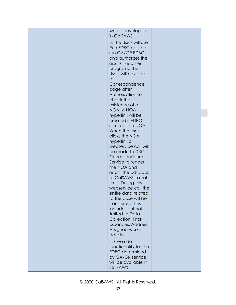| to | 3. The Users will use<br>Run EDBC page to<br>run GA/GR EDBC<br>and authorizes the<br>results like other<br>programs. The<br>Users will navigate<br>Correspondence<br>page after<br>Authorization to<br>check the<br>existence of a<br>NOA. A NOA<br>hyperlink will be<br>created if EDBC<br>resulted in a NOA.<br>When the User<br>clicks the NOA<br>hyperlink a<br>webservice call will<br>be made to DXC<br>Correspondence<br>Service to render<br>the NOA and<br>return the pdf back<br>to CalSAWS in real<br>time. During this<br>webservice call the<br>entire data related<br>to the case will be<br>transferred. This<br>includes but not<br>limited to Data<br>Collection, Prior<br>Issuances, Address,<br>Assigned worker<br>details<br>4. Override<br>functionality for the<br><b>EDBC</b> determined<br>by GA/GR service<br>will be available in<br>CalSAWS. |  |
|----|-------------------------------------------------------------------------------------------------------------------------------------------------------------------------------------------------------------------------------------------------------------------------------------------------------------------------------------------------------------------------------------------------------------------------------------------------------------------------------------------------------------------------------------------------------------------------------------------------------------------------------------------------------------------------------------------------------------------------------------------------------------------------------------------------------------------------------------------------------------------------|--|
|    | will be developed<br>in CalSAWS.                                                                                                                                                                                                                                                                                                                                                                                                                                                                                                                                                                                                                                                                                                                                                                                                                                        |  |
|    |                                                                                                                                                                                                                                                                                                                                                                                                                                                                                                                                                                                                                                                                                                                                                                                                                                                                         |  |
|    |                                                                                                                                                                                                                                                                                                                                                                                                                                                                                                                                                                                                                                                                                                                                                                                                                                                                         |  |
|    |                                                                                                                                                                                                                                                                                                                                                                                                                                                                                                                                                                                                                                                                                                                                                                                                                                                                         |  |
|    |                                                                                                                                                                                                                                                                                                                                                                                                                                                                                                                                                                                                                                                                                                                                                                                                                                                                         |  |
|    |                                                                                                                                                                                                                                                                                                                                                                                                                                                                                                                                                                                                                                                                                                                                                                                                                                                                         |  |
|    |                                                                                                                                                                                                                                                                                                                                                                                                                                                                                                                                                                                                                                                                                                                                                                                                                                                                         |  |
|    |                                                                                                                                                                                                                                                                                                                                                                                                                                                                                                                                                                                                                                                                                                                                                                                                                                                                         |  |
|    |                                                                                                                                                                                                                                                                                                                                                                                                                                                                                                                                                                                                                                                                                                                                                                                                                                                                         |  |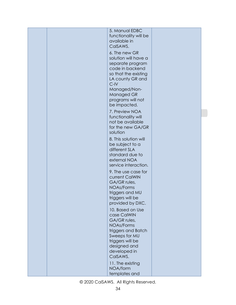|  | 5. Manual EDBC                           |  |
|--|------------------------------------------|--|
|  | functionality will be                    |  |
|  | available in                             |  |
|  | CalSAWS.                                 |  |
|  | 6. The new GR                            |  |
|  | solution will have a                     |  |
|  | separate program                         |  |
|  | code in backend                          |  |
|  | so that the existing<br>LA county GR and |  |
|  | $C$ -IV                                  |  |
|  | Managed/Non-                             |  |
|  | Managed GR                               |  |
|  | programs will not                        |  |
|  | be impacted.                             |  |
|  | 7. Preview NOA                           |  |
|  | functionality will<br>not be available   |  |
|  | for the new GA/GR                        |  |
|  | solution                                 |  |
|  | 8. This solution will                    |  |
|  | be subject to a                          |  |
|  | different SLA                            |  |
|  | standard due to<br>external NOA          |  |
|  | service interaction.                     |  |
|  | 9. The use case for                      |  |
|  | current CalWIN                           |  |
|  | GA/GR rules,                             |  |
|  | <b>NOAs/Forms</b>                        |  |
|  | triggers and MU<br>triggers will be      |  |
|  | provided by DXC.                         |  |
|  | 10. Based on Use                         |  |
|  | case CalWIN                              |  |
|  | GA/GR rules,                             |  |
|  | <b>NOAs/Forms</b>                        |  |
|  | triggers and Batch<br>Sweeps for MU      |  |
|  | triggers will be                         |  |
|  | designed and                             |  |
|  | developed in                             |  |
|  | CalSAWS.                                 |  |
|  | 11. The existing                         |  |
|  | NOA/form                                 |  |
|  | templates and                            |  |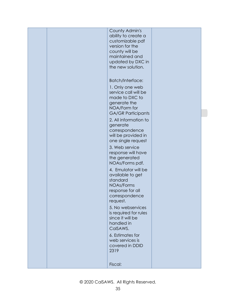|  | County Admin's<br>ability to create a<br>customizable pdf<br>version for the<br>county will be<br>maintained and<br>updated by DXC in<br>the new solution.                   |  |
|--|------------------------------------------------------------------------------------------------------------------------------------------------------------------------------|--|
|  | <b>Batch/Interface:</b><br>1. Only one web<br>service call will be<br>made to DXC to<br>generate the<br>NOA/Form for<br><b>GA/GR Participants</b>                            |  |
|  | 2. All information to<br>generate<br>correspondence<br>will be provided in<br>one single request<br>3. Web service<br>response will have<br>the generated<br>NOAs/Forms pdf. |  |
|  | 4. Emulator will be<br>available to get<br>standard<br><b>NOAs/Forms</b><br>response for all<br>correspondence<br>request.                                                   |  |
|  | 5. No webservices<br>is required for rules<br>since it will be<br>handled in<br>CalSAWS.<br>6. Estimates for<br>web services is<br>covered in DDID<br>2319                   |  |
|  | Fiscal:                                                                                                                                                                      |  |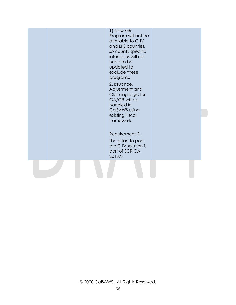| existing Fiscal<br>framework.                                                            |  |
|------------------------------------------------------------------------------------------|--|
| Requirement 2:<br>The effort to port<br>the C-IV solution is<br>part of SCR CA<br>201377 |  |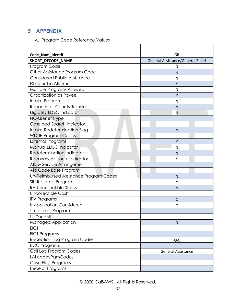### <span id="page-36-0"></span>**5 APPENDIX**

### A. Program Code Reference Values

| Code_Num_Identif                       | GR                                |  |
|----------------------------------------|-----------------------------------|--|
| SHORT_DECODE_NAME                      | General Assistance/General Relief |  |
| Program Code                           | N                                 |  |
| Other Assistance Program Code          | N                                 |  |
| <b>Considered Public Assistance</b>    | N                                 |  |
| <b>FS Count in Allotment</b>           | Υ                                 |  |
| Multiple Programs Allowed              | N                                 |  |
| Organization as Payee                  | Υ                                 |  |
| Intake Program                         | N                                 |  |
| Report Inter-County Transfer           | N                                 |  |
| <b>Eligibility EDBC Indicator</b>      | N                                 |  |
| NOABenefitType                         |                                   |  |
| Caseload Search Indicator              |                                   |  |
| Intake Redetermination Flag            | $\mathsf{N}$                      |  |
| <b>WDTIP Program Codes</b>             |                                   |  |
| <b>External Programs</b>               | Y                                 |  |
| Manual EDBC Indicator                  | N                                 |  |
| <b>Redetermination Indicator</b>       | N                                 |  |
| <b>Recovery Account Indicator</b>      | Υ                                 |  |
| <b>Allow Service Arrangement</b>       |                                   |  |
| Aid Code Base Program                  |                                   |  |
| Un-Reimbursed Assistance Program Codes | N                                 |  |
| SIU Referred Program                   | Υ                                 |  |
| <b>RA Uncollectible Status</b>         | $\mathsf{N}$                      |  |
| Uncollectible Cash                     |                                   |  |
| <b>IPV Programs</b>                    | C                                 |  |
| Is Application Considered              | Υ                                 |  |
| Time Limits Program                    |                                   |  |
| C4Yourself                             |                                   |  |
| Managed Application                    | ${\sf N}$                         |  |
| <b>EICT</b>                            |                                   |  |
| <b>EICT Programs</b>                   |                                   |  |
| Reception Log Program Codes            | GA                                |  |
| <b>RCC Programs</b>                    |                                   |  |
| Call Log Program Codes                 | <b>General Assistance</b>         |  |
| LALegacyPgmCodes                       |                                   |  |
| Case Flag Programs                     |                                   |  |
| <b>Receipt Programs</b>                |                                   |  |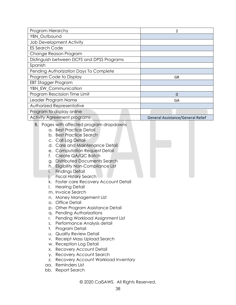| Program Hierarchy                          | 2                                 |
|--------------------------------------------|-----------------------------------|
| YBN_Outbound                               |                                   |
| <b>Job Development Activity</b>            |                                   |
| <b>ES Search Code</b>                      |                                   |
| Change Reason Program                      |                                   |
| Distinguish between DCFS and DPSS Programs |                                   |
| Spanish                                    |                                   |
| Pending Authorization Days To Complete     |                                   |
| Program Code to Display                    | GR                                |
| EBT Stagger Program                        |                                   |
| YBN_EW_Communication                       |                                   |
| Program Rescission Time Limit              | O                                 |
| Leader Program Name                        | GA                                |
| Authorized Representative                  |                                   |
| Program to display online                  |                                   |
| <b>Activity Agreement programs</b>         | General Assistance/General Relief |

- B. Pages with affected program dropdowns
	- a. Best Practice Detail
	- b. Best Practice Search
	- c. Call Log Detail
	- d. Care and Maintenance Detail
	- e. Computation Request Detail
	- f. Create QA/QC Batch
	- g. Distributed Documents Search
	- h. Eligibility Non-Compliance List
	- i. Findings Detail
	- j. Fiscal History Search
	- k. Foster care Recovery Account Detail
	- l. Hearing Detail
	- m. Invoice Search
	- n. Money Management List
	- o. Office Detail
	- p. Other Program Assistance Detail
	- q. Pending Authorizations
	- r. Pending Workload Assignment List
	- s. Performance Analysis detail
	- t. Program Detail
	- u. Quality Review Detail
	- v. Receipt Mass Upload Search
	- w. Reception Log Detail
	- x. Recovery Account Detail
	- y. Recovery Account Search
	- z. Recovery Account Workload Inventory
	- aa. Reminders List
	- bb. Report Search